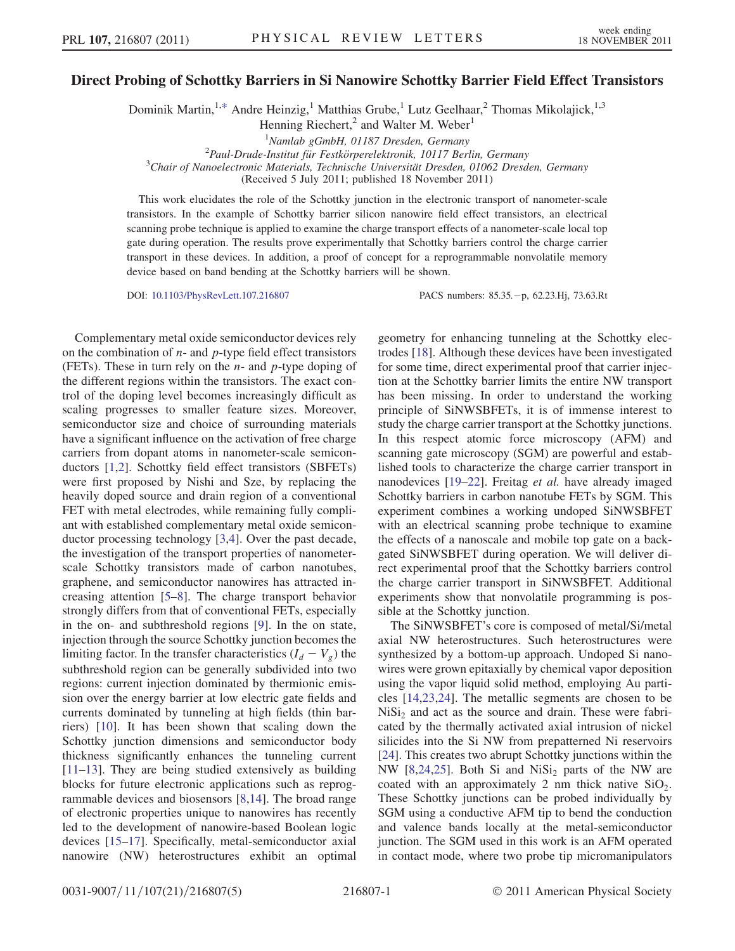## <span id="page-0-0"></span>Direct Probing of Schottky Barriers in Si Nanowire Schottky Barrier Field Effect Transistors

Dominik Martin,<sup>1[,\\*](#page-3-0)</sup> Andre Heinzig,<sup>1</sup> Matthias Grube,<sup>1</sup> Lutz Geelhaar,<sup>2</sup> Thomas Mikolajick,<sup>1,3</sup>

Henning Riechert,<sup>2</sup> and Walter M. Weber<sup>1</sup>

 $1$ Namlab gGmbH, 01187 Dresden, Germany  $^{1}$ Namlab gGmbH, 01187 Dresden, Germany<br> $^{2}$ Paul Drude Institut für Eestkörnarelektronik 10117 Per

 $P$ aul-Drude-Institut für Festkörperelektronik, 10117 Berlin, Germany<br><sup>3</sup>Chair of Nanoglectronic Materials, Technische Universität Dresden, 01062 Dresd

 $3$ Chair of Nanoelectronic Materials, Technische Universität Dresden, 01062 Dresden, Germany

(Received 5 July 2011; published 18 November 2011)

This work elucidates the role of the Schottky junction in the electronic transport of nanometer-scale transistors. In the example of Schottky barrier silicon nanowire field effect transistors, an electrical scanning probe technique is applied to examine the charge transport effects of a nanometer-scale local top gate during operation. The results prove experimentally that Schottky barriers control the charge carrier transport in these devices. In addition, a proof of concept for a reprogrammable nonvolatile memory device based on band bending at the Schottky barriers will be shown.

DOI: [10.1103/PhysRevLett.107.216807](http://dx.doi.org/10.1103/PhysRevLett.107.216807) PACS numbers: 85.35. - p, 62.23.Hj, 73.63.Rt

Complementary metal oxide semiconductor devices rely on the combination of  $n-$  and  $p$ -type field effect transistors (FETs). These in turn rely on the  $n-$  and  $p$ -type doping of the different regions within the transistors. The exact control of the doping level becomes increasingly difficult as scaling progresses to smaller feature sizes. Moreover, semiconductor size and choice of surrounding materials have a significant influence on the activation of free charge carriers from dopant atoms in nanometer-scale semiconductors [[1,](#page-3-1)[2\]](#page-3-2). Schottky field effect transistors (SBFETs) were first proposed by Nishi and Sze, by replacing the heavily doped source and drain region of a conventional FET with metal electrodes, while remaining fully compliant with established complementary metal oxide semiconductor processing technology [[3](#page-3-3),[4](#page-3-4)]. Over the past decade, the investigation of the transport properties of nanometerscale Schottky transistors made of carbon nanotubes, graphene, and semiconductor nanowires has attracted increasing attention [\[5](#page-3-5)–[8\]](#page-3-6). The charge transport behavior strongly differs from that of conventional FETs, especially in the on- and subthreshold regions [[9](#page-3-7)]. In the on state, injection through the source Schottky junction becomes the limiting factor. In the transfer characteristics  $(I_d - V_g)$  the subthreshold region can be generally subdivided into two regions: current injection dominated by thermionic emission over the energy barrier at low electric gate fields and currents dominated by tunneling at high fields (thin barriers) [[10](#page-3-8)]. It has been shown that scaling down the Schottky junction dimensions and semiconductor body thickness significantly enhances the tunneling current [\[11–](#page-3-9)[13\]](#page-3-10). They are being studied extensively as building blocks for future electronic applications such as reprogrammable devices and biosensors [\[8](#page-3-6),[14](#page-3-11)]. The broad range of electronic properties unique to nanowires has recently led to the development of nanowire-based Boolean logic devices [\[15–](#page-3-12)[17](#page-3-13)]. Specifically, metal-semiconductor axial nanowire (NW) heterostructures exhibit an optimal geometry for enhancing tunneling at the Schottky electrodes [[18\]](#page-3-14). Although these devices have been investigated for some time, direct experimental proof that carrier injection at the Schottky barrier limits the entire NW transport has been missing. In order to understand the working principle of SiNWSBFETs, it is of immense interest to study the charge carrier transport at the Schottky junctions. In this respect atomic force microscopy (AFM) and scanning gate microscopy (SGM) are powerful and established tools to characterize the charge carrier transport in nanodevices [\[19–](#page-4-0)[22](#page-4-1)]. Freitag et al. have already imaged Schottky barriers in carbon nanotube FETs by SGM. This experiment combines a working undoped SiNWSBFET with an electrical scanning probe technique to examine the effects of a nanoscale and mobile top gate on a backgated SiNWSBFET during operation. We will deliver direct experimental proof that the Schottky barriers control the charge carrier transport in SiNWSBFET. Additional experiments show that nonvolatile programming is possible at the Schottky junction.

The SiNWSBFET's core is composed of metal/Si/metal axial NW heterostructures. Such heterostructures were synthesized by a bottom-up approach. Undoped Si nanowires were grown epitaxially by chemical vapor deposition using the vapor liquid solid method, employing Au particles [[14](#page-3-11)[,23](#page-4-2)[,24\]](#page-4-3). The metallic segments are chosen to be  $NiSi<sub>2</sub>$  and act as the source and drain. These were fabricated by the thermally activated axial intrusion of nickel silicides into the Si NW from prepatterned Ni reservoirs [\[24\]](#page-4-3). This creates two abrupt Schottky junctions within the NW  $[8,24,25]$  $[8,24,25]$  $[8,24,25]$  $[8,24,25]$  $[8,24,25]$ . Both Si and NiSi<sub>2</sub> parts of the NW are coated with an approximately 2 nm thick native  $SiO<sub>2</sub>$ . These Schottky junctions can be probed individually by SGM using a conductive AFM tip to bend the conduction and valence bands locally at the metal-semiconductor junction. The SGM used in this work is an AFM operated in contact mode, where two probe tip micromanipulators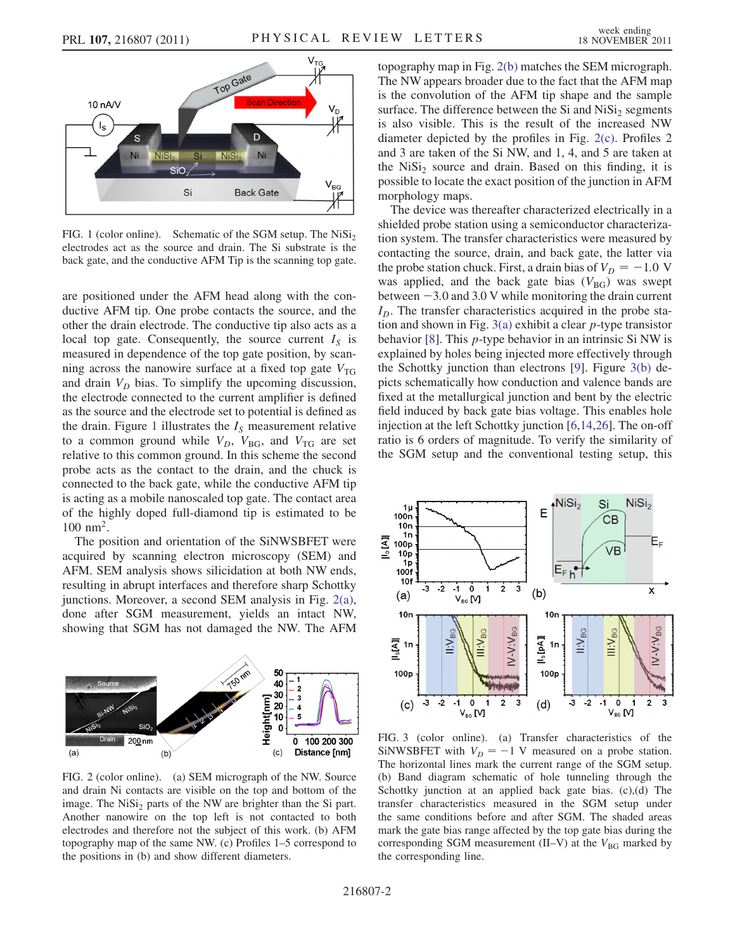<span id="page-1-0"></span>

FIG. 1 (color online). Schematic of the SGM setup. The NiSi<sub>2</sub> electrodes act as the source and drain. The Si substrate is the back gate, and the conductive AFM Tip is the scanning top gate.

are positioned under the AFM head along with the conductive AFM tip. One probe contacts the source, and the other the drain electrode. The conductive tip also acts as a local top gate. Consequently, the source current  $I<sub>S</sub>$  is measured in dependence of the top gate position, by scanning across the nanowire surface at a fixed top gate  $V_{\text{TG}}$ and drain  $V_D$  bias. To simplify the upcoming discussion, the electrode connected to the current amplifier is defined as the source and the electrode set to potential is defined as the drain. Figure [1](#page-1-0) illustrates the  $I<sub>S</sub>$  measurement relative to a common ground while  $V_D$ ,  $V_{BG}$ , and  $V_{TG}$  are set relative to this common ground. In this scheme the second probe acts as the contact to the drain, and the chuck is connected to the back gate, while the conductive AFM tip is acting as a mobile nanoscaled top gate. The contact area of the highly doped full-diamond tip is estimated to be 100 nm2.

The position and orientation of the SiNWSBFET were acquired by scanning electron microscopy (SEM) and AFM. SEM analysis shows silicidation at both NW ends, resulting in abrupt interfaces and therefore sharp Schottky junctions. Moreover, a second SEM analysis in Fig. [2\(a\)](#page-1-1), done after SGM measurement, yields an intact NW, showing that SGM has not damaged the NW. The AFM



<span id="page-1-1"></span>FIG. 2 (color online). (a) SEM micrograph of the NW. Source and drain Ni contacts are visible on the top and bottom of the image. The  $NiSi<sub>2</sub>$  parts of the NW are brighter than the Si part. Another nanowire on the top left is not contacted to both electrodes and therefore not the subject of this work. (b) AFM topography map of the same NW. (c) Profiles 1–5 correspond to the positions in (b) and show different diameters.

topography map in Fig. [2\(b\)](#page-1-1) matches the SEM micrograph. The NW appears broader due to the fact that the AFM map is the convolution of the AFM tip shape and the sample surface. The difference between the Si and  $NiSi<sub>2</sub>$  segments is also visible. This is the result of the increased NW diameter depicted by the profiles in Fig. [2\(c\)](#page-1-1). Profiles 2 and 3 are taken of the Si NW, and 1, 4, and 5 are taken at the  $N_i$ Si<sub>2</sub> source and drain. Based on this finding, it is possible to locate the exact position of the junction in AFM morphology maps.

The device was thereafter characterized electrically in a shielded probe station using a semiconductor characterization system. The transfer characteristics were measured by contacting the source, drain, and back gate, the latter via the probe station chuck. First, a drain bias of  $V_D = -1.0$  V was applied, and the back gate bias  $(V_{BG})$  was swept between  $-3.0$  and 3.0 V while monitoring the drain current  $I<sub>D</sub>$ . The transfer characteristics acquired in the probe station and shown in Fig.  $3(a)$  exhibit a clear *p*-type transistor behavior [[8\]](#page-3-6). This p-type behavior in an intrinsic Si NW is explained by holes being injected more effectively through the Schottky junction than electrons [[9\]](#page-3-7). Figure [3\(b\)](#page-1-2) depicts schematically how conduction and valence bands are fixed at the metallurgical junction and bent by the electric field induced by back gate bias voltage. This enables hole injection at the left Schottky junction [[6](#page-3-15)[,14,](#page-3-11)[26\]](#page-4-5). The on-off ratio is 6 orders of magnitude. To verify the similarity of the SGM setup and the conventional testing setup, this



<span id="page-1-2"></span>FIG. 3 (color online). (a) Transfer characteristics of the SiNWSBFET with  $V_D = -1$  V measured on a probe station. The horizontal lines mark the current range of the SGM setup. (b) Band diagram schematic of hole tunneling through the Schottky junction at an applied back gate bias. (c),(d) The transfer characteristics measured in the SGM setup under the same conditions before and after SGM. The shaded areas mark the gate bias range affected by the top gate bias during the corresponding SGM measurement (II–V) at the  $V_{BG}$  marked by the corresponding line.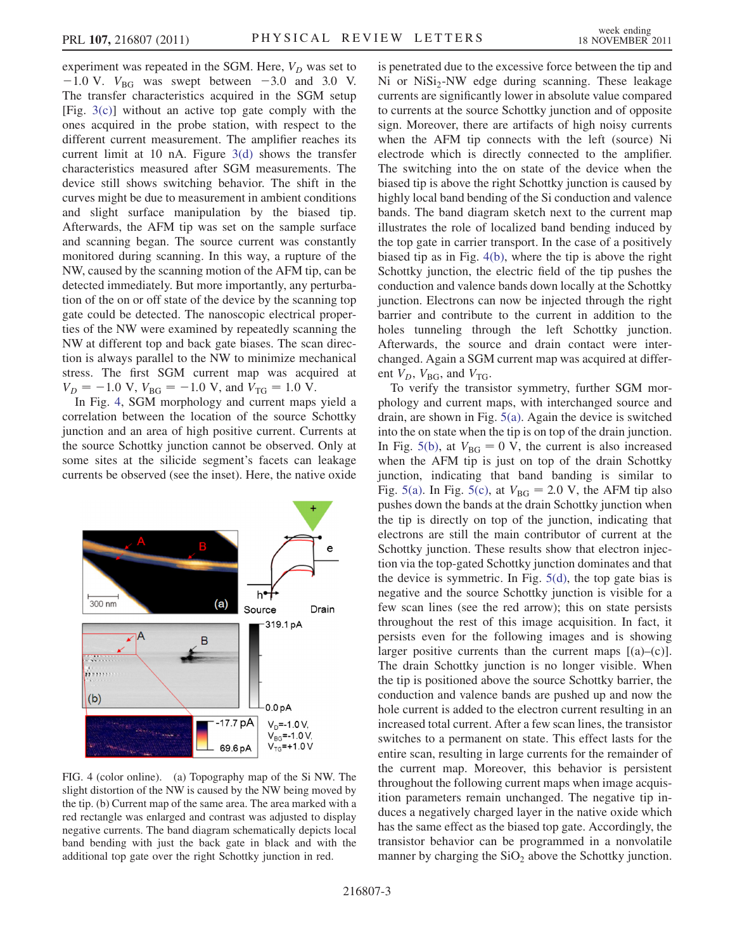experiment was repeated in the SGM. Here,  $V_D$  was set to  $-1.0$  V.  $V_{BG}$  was swept between  $-3.0$  and 3.0 V. The transfer characteristics acquired in the SGM setup [Fig.  $3(c)$ ] without an active top gate comply with the ones acquired in the probe station, with respect to the different current measurement. The amplifier reaches its current limit at 10 nA. Figure  $3(d)$  shows the transfer characteristics measured after SGM measurements. The device still shows switching behavior. The shift in the curves might be due to measurement in ambient conditions and slight surface manipulation by the biased tip. Afterwards, the AFM tip was set on the sample surface and scanning began. The source current was constantly monitored during scanning. In this way, a rupture of the NW, caused by the scanning motion of the AFM tip, can be detected immediately. But more importantly, any perturbation of the on or off state of the device by the scanning top gate could be detected. The nanoscopic electrical properties of the NW were examined by repeatedly scanning the NW at different top and back gate biases. The scan direction is always parallel to the NW to minimize mechanical stress. The first SGM current map was acquired at  $V_D = -1.0$  V,  $V_{BG} = -1.0$  V, and  $V_{TG} = 1.0$  V.

In Fig. [4,](#page-2-0) SGM morphology and current maps yield a correlation between the location of the source Schottky junction and an area of high positive current. Currents at the source Schottky junction cannot be observed. Only at some sites at the silicide segment's facets can leakage currents be observed (see the inset). Here, the native oxide

<span id="page-2-0"></span>

<span id="page-2-1"></span>FIG. 4 (color online). (a) Topography map of the Si NW. The slight distortion of the NW is caused by the NW being moved by the tip. (b) Current map of the same area. The area marked with a red rectangle was enlarged and contrast was adjusted to display negative currents. The band diagram schematically depicts local band bending with just the back gate in black and with the additional top gate over the right Schottky junction in red.

is penetrated due to the excessive force between the tip and Ni or  $NiSi<sub>2</sub>-NW$  edge during scanning. These leakage currents are significantly lower in absolute value compared to currents at the source Schottky junction and of opposite sign. Moreover, there are artifacts of high noisy currents when the AFM tip connects with the left (source) Ni electrode which is directly connected to the amplifier. The switching into the on state of the device when the biased tip is above the right Schottky junction is caused by highly local band bending of the Si conduction and valence bands. The band diagram sketch next to the current map illustrates the role of localized band bending induced by the top gate in carrier transport. In the case of a positively biased tip as in Fig. [4\(b\)](#page-2-1), where the tip is above the right Schottky junction, the electric field of the tip pushes the conduction and valence bands down locally at the Schottky junction. Electrons can now be injected through the right barrier and contribute to the current in addition to the holes tunneling through the left Schottky junction. Afterwards, the source and drain contact were interchanged. Again a SGM current map was acquired at different  $V_D$ ,  $V_{BG}$ , and  $V_{TG}$ .

To verify the transistor symmetry, further SGM morphology and current maps, with interchanged source and drain, are shown in Fig. [5\(a\)](#page-3-16). Again the device is switched into the on state when the tip is on top of the drain junction. In Fig. [5\(b\),](#page-3-16) at  $V_{BG} = 0$  V, the current is also increased when the AFM tip is just on top of the drain Schottky junction, indicating that band banding is similar to Fig. [5\(a\).](#page-3-16) In Fig. [5\(c\)](#page-3-16), at  $V_{BG} = 2.0$  V, the AFM tip also pushes down the bands at the drain Schottky junction when the tip is directly on top of the junction, indicating that electrons are still the main contributor of current at the Schottky junction. These results show that electron injection via the top-gated Schottky junction dominates and that the device is symmetric. In Fig.  $5(d)$ , the top gate bias is negative and the source Schottky junction is visible for a few scan lines (see the red arrow); this on state persists throughout the rest of this image acquisition. In fact, it persists even for the following images and is showing larger positive currents than the current maps  $[(a)-(c)]$ . The drain Schottky junction is no longer visible. When the tip is positioned above the source Schottky barrier, the conduction and valence bands are pushed up and now the hole current is added to the electron current resulting in an increased total current. After a few scan lines, the transistor switches to a permanent on state. This effect lasts for the entire scan, resulting in large currents for the remainder of the current map. Moreover, this behavior is persistent throughout the following current maps when image acquisition parameters remain unchanged. The negative tip induces a negatively charged layer in the native oxide which has the same effect as the biased top gate. Accordingly, the transistor behavior can be programmed in a nonvolatile manner by charging the  $SiO<sub>2</sub>$  above the Schottky junction.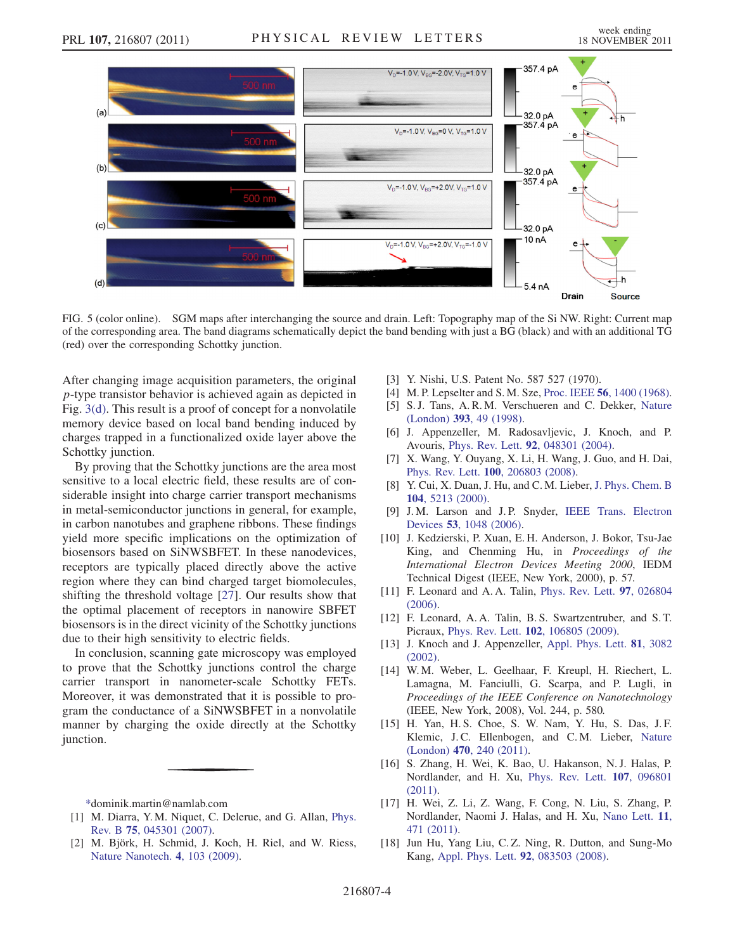

<span id="page-3-16"></span>FIG. 5 (color online). SGM maps after interchanging the source and drain. Left: Topography map of the Si NW. Right: Current map of the corresponding area. The band diagrams schematically depict the band bending with just a BG (black) and with an additional TG (red) over the corresponding Schottky junction.

After changing image acquisition parameters, the original p-type transistor behavior is achieved again as depicted in Fig. [3\(d\)](#page-1-2). This result is a proof of concept for a nonvolatile memory device based on local band bending induced by charges trapped in a functionalized oxide layer above the Schottky junction.

By proving that the Schottky junctions are the area most sensitive to a local electric field, these results are of considerable insight into charge carrier transport mechanisms in metal-semiconductor junctions in general, for example, in carbon nanotubes and graphene ribbons. These findings yield more specific implications on the optimization of biosensors based on SiNWSBFET. In these nanodevices, receptors are typically placed directly above the active region where they can bind charged target biomolecules, shifting the threshold voltage [[27](#page-4-6)]. Our results show that the optimal placement of receptors in nanowire SBFET biosensors is in the direct vicinity of the Schottky junctions due to their high sensitivity to electric fields.

In conclusion, scanning gate microscopy was employed to prove that the Schottky junctions control the charge carrier transport in nanometer-scale Schottky FETs. Moreover, it was demonstrated that it is possible to program the conductance of a SiNWSBFET in a nonvolatile manner by charging the oxide directly at the Schottky junction.

<span id="page-3-0"></span>[\\*d](#page-0-0)ominik.martin@namlab.com

- <span id="page-3-2"></span><span id="page-3-1"></span>[1] M. Diarra, Y. M. Niquet, C. Delerue, and G. Allan, [Phys.](http://dx.doi.org/10.1103/PhysRevB.75.045301) Rev. B 75[, 045301 \(2007\).](http://dx.doi.org/10.1103/PhysRevB.75.045301)
- [2] M. Björk, H. Schmid, J. Koch, H. Riel, and W. Riess, [Nature Nanotech.](http://dx.doi.org/10.1038/nnano.2008.400) 4, 103 (2009).
- <span id="page-3-3"></span>[3] Y. Nishi, U.S. Patent No. 587 527 (1970).
- <span id="page-3-5"></span><span id="page-3-4"></span>[4] M. P. Lepselter and S. M. Sze, Proc. IEEE 56[, 1400 \(1968\).](http://dx.doi.org/10.1109/PROC.1968.6618)
- [5] S. J. Tans, A. R. M. Verschueren and C. Dekker, [Nature](http://dx.doi.org/10.1038/29954) (London) 393[, 49 \(1998\)](http://dx.doi.org/10.1038/29954).
- <span id="page-3-15"></span>[6] J. Appenzeller, M. Radosavljevic, J. Knoch, and P. Avouris, Phys. Rev. Lett. 92[, 048301 \(2004\).](http://dx.doi.org/10.1103/PhysRevLett.92.048301)
- [7] X. Wang, Y. Ouyang, X. Li, H. Wang, J. Guo, and H. Dai, Phys. Rev. Lett. 100[, 206803 \(2008\).](http://dx.doi.org/10.1103/PhysRevLett.100.206803)
- <span id="page-3-6"></span>[8] Y. Cui, X. Duan, J. Hu, and C. M. Lieber, [J. Phys. Chem. B](http://dx.doi.org/10.1021/jp0009305) 104[, 5213 \(2000\).](http://dx.doi.org/10.1021/jp0009305)
- <span id="page-3-7"></span>[9] J. M. Larson and J. P. Snyder, [IEEE Trans. Electron](http://dx.doi.org/10.1109/TED.2006.871842) Devices 53[, 1048 \(2006\)](http://dx.doi.org/10.1109/TED.2006.871842).
- <span id="page-3-8"></span>[10] J. Kedzierski, P. Xuan, E. H. Anderson, J. Bokor, Tsu-Jae King, and Chenming Hu, in Proceedings of the International Electron Devices Meeting 2000, IEDM Technical Digest (IEEE, New York, 2000), p. 57.
- <span id="page-3-9"></span>[11] F. Leonard and A.A. Talin, *[Phys. Rev. Lett.](http://dx.doi.org/10.1103/PhysRevLett.97.026804)* **97**, 026804 [\(2006\)](http://dx.doi.org/10.1103/PhysRevLett.97.026804).
- [12] F. Leonard, A. A. Talin, B. S. Swartzentruber, and S. T. Picraux, Phys. Rev. Lett. 102[, 106805 \(2009\).](http://dx.doi.org/10.1103/PhysRevLett.102.106805)
- <span id="page-3-10"></span>[13] J. Knoch and J. Appenzeller, [Appl. Phys. Lett.](http://dx.doi.org/10.1063/1.1513657) **81**, 3082 [\(2002\)](http://dx.doi.org/10.1063/1.1513657).
- <span id="page-3-11"></span>[14] W. M. Weber, L. Geelhaar, F. Kreupl, H. Riechert, L. Lamagna, M. Fanciulli, G. Scarpa, and P. Lugli, in Proceedings of the IEEE Conference on Nanotechnology (IEEE, New York, 2008), Vol. 244, p. 580.
- <span id="page-3-12"></span>[15] H. Yan, H. S. Choe, S. W. Nam, Y. Hu, S. Das, J. F. Klemic, J.C. Ellenbogen, and C.M. Lieber, [Nature](http://dx.doi.org/10.1038/nature09749) (London) 470[, 240 \(2011\).](http://dx.doi.org/10.1038/nature09749)
- [16] S. Zhang, H. Wei, K. Bao, U. Hakanson, N. J. Halas, P. Nordlander, and H. Xu, [Phys. Rev. Lett.](http://dx.doi.org/10.1103/PhysRevLett.107.096801) 107, 096801 [\(2011\)](http://dx.doi.org/10.1103/PhysRevLett.107.096801).
- <span id="page-3-13"></span>[17] H. Wei, Z. Li, Z. Wang, F. Cong, N. Liu, S. Zhang, P. Nordlander, Naomi J. Halas, and H. Xu, [Nano Lett.](http://dx.doi.org/10.1021/nl103228b) 11, [471 \(2011\)](http://dx.doi.org/10.1021/nl103228b).
- <span id="page-3-14"></span>[18] Jun Hu, Yang Liu, C. Z. Ning, R. Dutton, and Sung-Mo Kang, [Appl. Phys. Lett.](http://dx.doi.org/10.1063/1.2889534) 92, 083503 (2008).